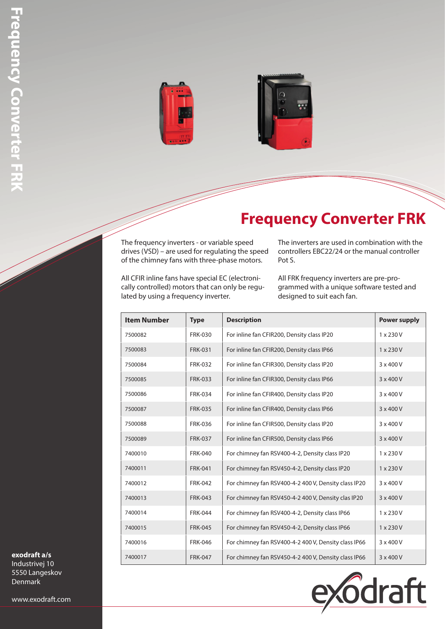



## **Frequency Converter FRK**

The frequency inverters - or variable speed drives (VSD) – are used for regulating the speed of the chimney fans with three-phase motors.

The inverters are used in combination with the controllers EBC22/24 or the manual controller Pot S.

All CFIR inline fans have special EC (electronically controlled) motors that can only be regulated by using a frequency inverter.

All FRK frequency inverters are pre-programmed with a unique software tested and designed to suit each fan.

| <b>Item Number</b> | <b>Type</b>    | <b>Description</b>                                   | <b>Power supply</b> |
|--------------------|----------------|------------------------------------------------------|---------------------|
| 7500082            | <b>FRK-030</b> | For inline fan CFIR200, Density class IP20           | $1 \times 230 V$    |
| 7500083            | <b>FRK-031</b> | For inline fan CFIR200, Density class IP66           | 1 x 230 V           |
| 7500084            | <b>FRK-032</b> | For inline fan CFIR300, Density class IP20           | 3 x 400 V           |
| 7500085            | <b>FRK-033</b> | For inline fan CFIR300, Density class IP66           | 3 x 400 V           |
| 7500086            | <b>FRK-034</b> | For inline fan CFIR400, Density class IP20           | 3 x 400 V           |
| 7500087            | <b>FRK-035</b> | For inline fan CFIR400, Density class IP66           | 3 x 400 V           |
| 7500088            | <b>FRK-036</b> | For inline fan CFIR500, Density class IP20           | 3 x 400 V           |
| 7500089            | <b>FRK-037</b> | For inline fan CFIR500, Density class IP66           | 3 x 400 V           |
| 7400010            | <b>FRK-040</b> | For chimney fan RSV400-4-2, Density class IP20       | $1 \times 230 V$    |
| 7400011            | <b>FRK-041</b> | For chimney fan RSV450-4-2, Density class IP20       | 1 x 230 V           |
| 7400012            | <b>FRK-042</b> | For chimney fan RSV400-4-2 400 V, Density class IP20 | 3 x 400 V           |
| 7400013            | <b>FRK-043</b> | For chimney fan RSV450-4-2 400 V, Density clas IP20  | 3 x 400 V           |
| 7400014            | <b>FRK-044</b> | For chimney fan RSV400-4-2, Density class IP66       | 1 x 230 V           |
| 7400015            | <b>FRK-045</b> | For chimney fan RSV450-4-2, Density class IP66       | 1 x 230 V           |
| 7400016            | <b>FRK-046</b> | For chimney fan RSV400-4-2 400 V, Density class IP66 | $3 \times 400 V$    |
| 7400017            | <b>FRK-047</b> | For chimney fan RSV450-4-2 400 V, Density class IP66 | $3 \times 400 V$    |



**exodraft a/s** Industrivej 10

5550 Langeskov Denmark